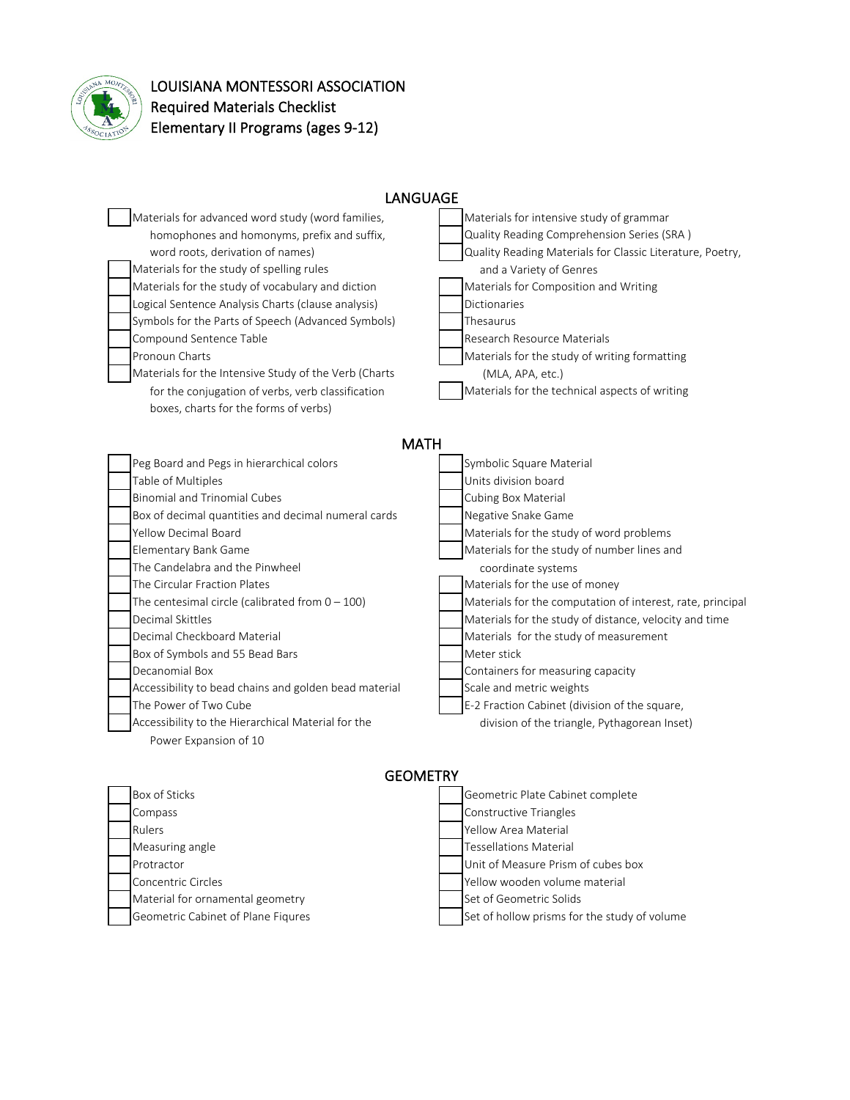

## LOUISIANA MONTESSORI ASSOCIATION Required Materials Checklist Elementary II Programs (ages 9-12)

| <b>LANGUAGE</b>                                                                                                                                                                                                                                                                                                                                                                                                                                                                                                                                                                                                 |                                                                                                                                                                                                                                                                                                                                                                                                                                                                                                                                                                                                             |  |
|-----------------------------------------------------------------------------------------------------------------------------------------------------------------------------------------------------------------------------------------------------------------------------------------------------------------------------------------------------------------------------------------------------------------------------------------------------------------------------------------------------------------------------------------------------------------------------------------------------------------|-------------------------------------------------------------------------------------------------------------------------------------------------------------------------------------------------------------------------------------------------------------------------------------------------------------------------------------------------------------------------------------------------------------------------------------------------------------------------------------------------------------------------------------------------------------------------------------------------------------|--|
| Materials for advanced word study (word families,<br>homophones and homonyms, prefix and suffix,<br>word roots, derivation of names)<br>Materials for the study of spelling rules<br>Materials for the study of vocabulary and diction<br>Logical Sentence Analysis Charts (clause analysis)<br>Symbols for the Parts of Speech (Advanced Symbols)<br>Compound Sentence Table<br>Pronoun Charts<br>Materials for the Intensive Study of the Verb (Charts<br>for the conjugation of verbs, verb classification<br>boxes, charts for the forms of verbs)                                                          | Materials for intensive study of grammar<br>Quality Reading Comprehension Series (SRA)<br>Quality Reading Materials for Classic Literature, Poetry,<br>and a Variety of Genres<br>Materials for Composition and Writing<br><b>Dictionaries</b><br>Thesaurus<br>Research Resource Materials<br>Materials for the study of writing formatting<br>(MLA, APA, etc.)<br>Materials for the technical aspects of writing                                                                                                                                                                                           |  |
| <b>MATH</b>                                                                                                                                                                                                                                                                                                                                                                                                                                                                                                                                                                                                     |                                                                                                                                                                                                                                                                                                                                                                                                                                                                                                                                                                                                             |  |
| Peg Board and Pegs in hierarchical colors<br>Table of Multiples<br><b>Binomial and Trinomial Cubes</b><br>Box of decimal quantities and decimal numeral cards<br>Yellow Decimal Board<br>Elementary Bank Game<br>The Candelabra and the Pinwheel<br>The Circular Fraction Plates<br>The centesimal circle (calibrated from $0 - 100$ )<br>Decimal Skittles<br>Decimal Checkboard Material<br>Box of Symbols and 55 Bead Bars<br>Decanomial Box<br>Accessibility to bead chains and golden bead material<br>The Power of Two Cube<br>Accessibility to the Hierarchical Material for the<br>Power Expansion of 10 | Symbolic Square Material<br>Units division board<br><b>Cubing Box Material</b><br>Negative Snake Game<br>Materials for the study of word problems<br>Materials for the study of number lines and<br>coordinate systems<br>Materials for the use of money<br>Materials for the computation of interest, rate, principal<br>Materials for the study of distance, velocity and time<br>Materials for the study of measurement<br>Meter stick<br>Containers for measuring capacity<br>Scale and metric weights<br>E-2 Fraction Cabinet (division of the square,<br>division of the triangle, Pythagorean Inset) |  |
| <b>GEOMETRY</b>                                                                                                                                                                                                                                                                                                                                                                                                                                                                                                                                                                                                 |                                                                                                                                                                                                                                                                                                                                                                                                                                                                                                                                                                                                             |  |
| Box of Sticks<br>Compass<br>Rulers<br>Measuring angle                                                                                                                                                                                                                                                                                                                                                                                                                                                                                                                                                           | Geometric Plate Cabinet complete<br><b>Constructive Triangles</b><br>Yellow Area Material<br><b>Tessellations Material</b>                                                                                                                                                                                                                                                                                                                                                                                                                                                                                  |  |

- Protractor **Protractor** Christmas **Christmas Christmas Christmas Christmas Christmas Christmas Christmas Christmas Christmas Christmas Christmas Christmas Christmas Christmas Christmas Christmas Christmas Christmas Christm** Concentric Circles The Concentric Circles The Concentric Circles The Vellow wooden volume material
- Material for ornamental geometry Set of Geometric Solids
- Geometric Cabinet of Plane Fiqures Set of hollow prisms for the study of volume